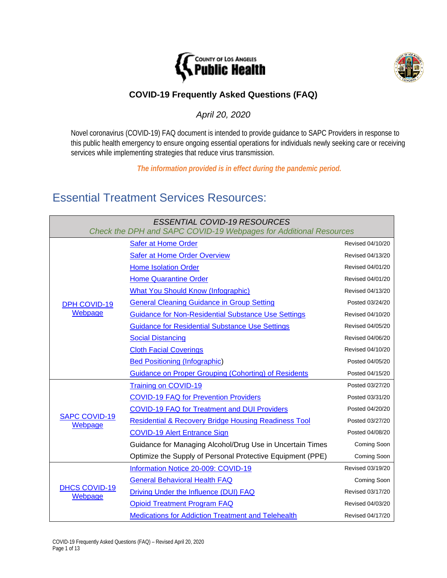



## **COVID-19 Frequently Asked Questions (FAQ)**

*April 20, 2020*

Novel coronavirus (COVID-19) FAQ document is intended to provide guidance to SAPC Providers in response to this public health emergency to ensure ongoing essential operations for individuals newly seeking care or receiving services while implementing strategies that reduce virus transmission.

*The information provided is in effect during the pandemic period.*

# Essential Treatment Services Resources:

| <b>ESSENTIAL COVID-19 RESOURCES</b><br>Check the DPH and SAPC COVID-19 Webpages for Additional Resources |                                                                 |                  |  |
|----------------------------------------------------------------------------------------------------------|-----------------------------------------------------------------|------------------|--|
| <b>DPH COVID-19</b><br>Webpage                                                                           | <b>Safer at Home Order</b>                                      | Revised 04/10/20 |  |
|                                                                                                          | <b>Safer at Home Order Overview</b>                             | Revised 04/13/20 |  |
|                                                                                                          | <b>Home Isolation Order</b>                                     | Revised 04/01/20 |  |
|                                                                                                          | <b>Home Quarantine Order</b>                                    | Revised 04/01/20 |  |
|                                                                                                          | <b>What You Should Know (Infographic)</b>                       | Revised 04/13/20 |  |
|                                                                                                          | <b>General Cleaning Guidance in Group Setting</b>               | Posted 03/24/20  |  |
|                                                                                                          | <b>Guidance for Non-Residential Substance Use Settings</b>      | Revised 04/10/20 |  |
|                                                                                                          | <b>Guidance for Residential Substance Use Settings</b>          | Revised 04/05/20 |  |
|                                                                                                          | <b>Social Distancing</b>                                        | Revised 04/06/20 |  |
|                                                                                                          | <b>Cloth Facial Coverings</b>                                   | Revised 04/10/20 |  |
|                                                                                                          | <b>Bed Positioning (Infographic)</b>                            | Posted 04/05/20  |  |
|                                                                                                          | <b>Guidance on Proper Grouping (Cohorting) of Residents</b>     | Posted 04/15/20  |  |
| <b>SAPC COVID-19</b><br>Webpage                                                                          | <b>Training on COVID-19</b>                                     | Posted 03/27/20  |  |
|                                                                                                          | <b>COVID-19 FAQ for Prevention Providers</b>                    | Posted 03/31/20  |  |
|                                                                                                          | <b>COVID-19 FAQ for Treatment and DUI Providers</b>             | Posted 04/20/20  |  |
|                                                                                                          | <b>Residential &amp; Recovery Bridge Housing Readiness Tool</b> | Posted 03/27/20  |  |
|                                                                                                          | <b>COVID-19 Alert Entrance Sign</b>                             | Posted 04/08/20  |  |
|                                                                                                          | Guidance for Managing Alcohol/Drug Use in Uncertain Times       | Coming Soon      |  |
|                                                                                                          | Optimize the Supply of Personal Protective Equipment (PPE)      | Coming Soon      |  |
| <b>DHCS COVID-19</b><br>Webpage                                                                          | Information Notice 20-009: COVID-19                             | Revised 03/19/20 |  |
|                                                                                                          | <b>General Behavioral Health FAQ</b>                            | Coming Soon      |  |
|                                                                                                          | Driving Under the Influence (DUI) FAQ                           | Revised 03/17/20 |  |
|                                                                                                          | <b>Opioid Treatment Program FAQ</b>                             | Revised 04/03/20 |  |
|                                                                                                          | <b>Medications for Addiction Treatment and Telehealth</b>       | Revised 04/17/20 |  |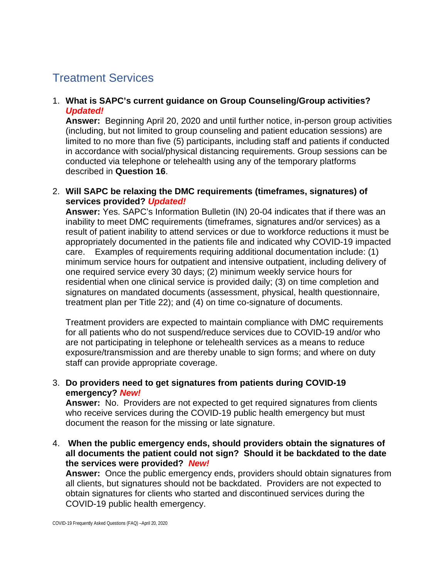# Treatment Services

### 1. **What is SAPC's current guidance on Group Counseling/Group activities?**  *Updated!*

**Answer:** Beginning April 20, 2020 and until further notice, in-person group activities (including, but not limited to group counseling and patient education sessions) are limited to no more than five (5) participants, including staff and patients if conducted in accordance with social/physical distancing requirements. Group sessions can be conducted via telephone or telehealth using any of the temporary platforms described in **Question 16**.

### 2. **Will SAPC be relaxing the DMC requirements (timeframes, signatures) of services provided?** *Updated!*

**Answer:** Yes. SAPC's Information Bulletin (IN) 20-04 indicates that if there was an inability to meet DMC requirements (timeframes, signatures and/or services) as a result of patient inability to attend services or due to workforce reductions it must be appropriately documented in the patients file and indicated why COVID-19 impacted care. Examples of requirements requiring additional documentation include: (1) minimum service hours for outpatient and intensive outpatient, including delivery of one required service every 30 days; (2) minimum weekly service hours for residential when one clinical service is provided daily; (3) on time completion and signatures on mandated documents (assessment, physical, health questionnaire, treatment plan per Title 22); and (4) on time co-signature of documents.

Treatment providers are expected to maintain compliance with DMC requirements for all patients who do not suspend/reduce services due to COVID-19 and/or who are not participating in telephone or telehealth services as a means to reduce exposure/transmission and are thereby unable to sign forms; and where on duty staff can provide appropriate coverage.

### 3. **Do providers need to get signatures from patients during COVID-19 emergency?** *New!*

**Answer:** No. Providers are not expected to get required signatures from clients who receive services during the COVID-19 public health emergency but must document the reason for the missing or late signature.

4. **When the public emergency ends, should providers obtain the signatures of all documents the patient could not sign? Should it be backdated to the date the services were provided?** *New!*

**Answer:** Once the public emergency ends, providers should obtain signatures from all clients, but signatures should not be backdated. Providers are not expected to obtain signatures for clients who started and discontinued services during the COVID-19 public health emergency.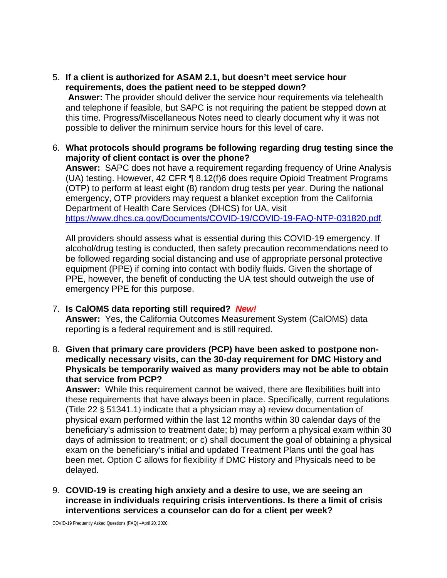5. **If a client is authorized for ASAM 2.1, but doesn't meet service hour requirements, does the patient need to be stepped down?**

**Answer:** The provider should deliver the service hour requirements via telehealth and telephone if feasible, but SAPC is not requiring the patient be stepped down at this time. Progress/Miscellaneous Notes need to clearly document why it was not possible to deliver the minimum service hours for this level of care.

6. **What protocols should programs be following regarding drug testing since the majority of client contact is over the phone?**

**Answer:** SAPC does not have a requirement regarding frequency of Urine Analysis (UA) testing. However, 42 CFR ¶ 8.12(f)6 does require Opioid Treatment Programs (OTP) to perform at least eight (8) random drug tests per year. During the national emergency, OTP providers may request a blanket exception from the California Department of Health Care Services (DHCS) for UA, visit [https://www.dhcs.ca.gov/Documents/COVID-19/COVID-19-FAQ-NTP-031820.pdf.](https://www.dhcs.ca.gov/Documents/COVID-19/COVID-19-FAQ-NTP-031820.pdf)

All providers should assess what is essential during this COVID-19 emergency. If alcohol/drug testing is conducted, then safety precaution recommendations need to be followed regarding social distancing and use of appropriate personal protective equipment (PPE) if coming into contact with bodily fluids. Given the shortage of PPE, however, the benefit of conducting the UA test should outweigh the use of emergency PPE for this purpose.

### 7. **Is CalOMS data reporting still required?** *New!*

**Answer:** Yes, the California Outcomes Measurement System (CalOMS) data reporting is a federal requirement and is still required.

8. **Given that primary care providers (PCP) have been asked to postpone nonmedically necessary visits, can the 30-day requirement for DMC History and Physicals be temporarily waived as many providers may not be able to obtain that service from PCP?**

**Answer:** While this requirement cannot be waived, there are flexibilities built into these requirements that have always been in place. Specifically, current regulations (Title 22 § 51341.1) indicate that a physician may a) review documentation of physical exam performed within the last 12 months within 30 calendar days of the beneficiary's admission to treatment date; b) may perform a physical exam within 30 days of admission to treatment; or c) shall document the goal of obtaining a physical exam on the beneficiary's initial and updated Treatment Plans until the goal has been met. Option C allows for flexibility if DMC History and Physicals need to be delayed.

9. **COVID-19 is creating high anxiety and a desire to use, we are seeing an increase in individuals requiring crisis interventions. Is there a limit of crisis interventions services a counselor can do for a client per week?**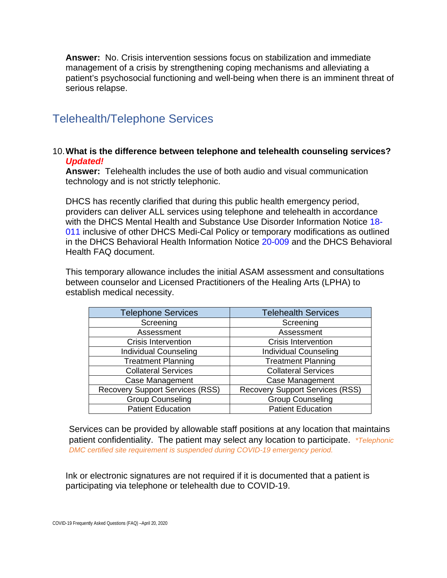**Answer:** No. Crisis intervention sessions focus on stabilization and immediate management of a crisis by strengthening coping mechanisms and alleviating a patient's psychosocial functioning and well-being when there is an imminent threat of serious relapse.

# Telehealth/Telephone Services

#### 10.**What is the difference between telephone and telehealth counseling services?**  *Updated!*

**Answer:** Telehealth includes the use of both audio and visual communication technology and is not strictly telephonic.

DHCS has recently clarified that during this public health emergency period, providers can deliver ALL services using telephone and telehealth in accordance with the DHCS Mental Health and Substance Use Disorder Information Notice [18-](https://www.dhcs.ca.gov/services/MH/Documents/Information%20Notices/IN%2018-%20Network%20Adequacy/MHSUDS_IN_18-011_Network_Adequacy.pdf) [011](https://www.dhcs.ca.gov/services/MH/Documents/Information%20Notices/IN%2018-%20Network%20Adequacy/MHSUDS_IN_18-011_Network_Adequacy.pdf) inclusive of other [DHCS Medi-Cal Policy](https://www.dhcs.ca.gov/provgovpart/Pages/Telehealth.aspx) or temporary modifications as outlined in the DHCS Behavioral Health Information Notice [20-009](https://www.dhcs.ca.gov/Documents/COVID-19/IN-20-009-Guidance-on-COVID-19-for-Behavioral-Health.pdf) and the DHCS Behavioral Health FAQ document.

This temporary allowance includes the initial ASAM assessment and consultations between counselor and Licensed Practitioners of the Healing Arts (LPHA) to establish medical necessity.

| <b>Telephone Services</b>              | <b>Telehealth Services</b>             |  |
|----------------------------------------|----------------------------------------|--|
| Screening                              | Screening                              |  |
| Assessment                             | Assessment                             |  |
| Crisis Intervention                    | <b>Crisis Intervention</b>             |  |
| <b>Individual Counseling</b>           | <b>Individual Counseling</b>           |  |
| <b>Treatment Planning</b>              | <b>Treatment Planning</b>              |  |
| <b>Collateral Services</b>             | <b>Collateral Services</b>             |  |
| <b>Case Management</b>                 | <b>Case Management</b>                 |  |
| <b>Recovery Support Services (RSS)</b> | <b>Recovery Support Services (RSS)</b> |  |
| <b>Group Counseling</b>                | <b>Group Counseling</b>                |  |
| <b>Patient Education</b>               | <b>Patient Education</b>               |  |

Services can be provided by allowable staff positions at any location that maintains patient confidentiality. The patient may select any location to participate. *\*Telephonic DMC certified site requirement is suspended during COVID-19 emergency period.* 

Ink or electronic signatures are not required if it is documented that a patient is participating via telephone or telehealth due to COVID-19.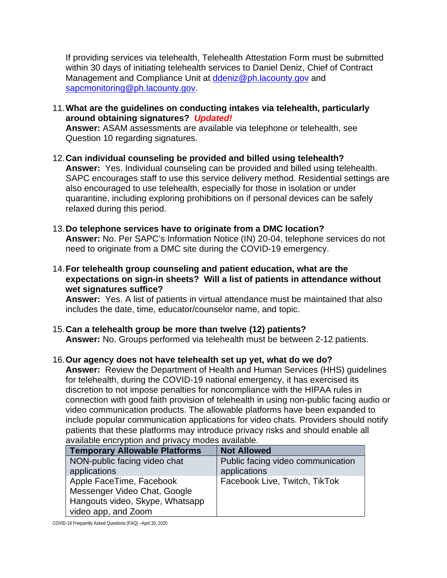If providing services via telehealth, Telehealth Attestation Form must be submitted within 30 days of initiating telehealth services to Daniel Deniz, Chief of Contract Management and Compliance Unit at [ddeniz@ph.lacounty.gov](mailto:ddeniz@ph.lacounty.gov) and [sapcmonitoring@ph.lacounty.gov.](mailto:sapcmonitoring@ph.lacounty.gov)

11.**What are the guidelines on conducting intakes via telehealth, particularly around obtaining signatures?** *Updated!* 

**Answer:** ASAM assessments are available via telephone or telehealth, see Question 10 regarding signatures.

- 12.**Can individual counseling be provided and billed using telehealth? Answer:** Yes. Individual counseling can be provided and billed using telehealth. SAPC encourages staff to use this service delivery method. Residential settings are also encouraged to use telehealth, especially for those in isolation or under quarantine, including exploring prohibitions on if personal devices can be safely relaxed during this period.
- 13.**Do telephone services have to originate from a DMC location? Answer:** No. Per SAPC's Information Notice (IN) 20-04, telephone services do not need to originate from a DMC site during the COVID-19 emergency.
- 14.**For telehealth group counseling and patient education, what are the expectations on sign-in sheets? Will a list of patients in attendance without wet signatures suffice?**

**Answer:** Yes. A list of patients in virtual attendance must be maintained that also includes the date, time, educator/counselor name, and topic.

- 15.**Can a telehealth group be more than twelve (12) patients? Answer:** No. Groups performed via telehealth must be between 2-12 patients.
- 16.**Our agency does not have telehealth set up yet, what do we do?**

**Answer:** Review the Department of Health and Human Services (HHS) guidelines for telehealth, during the COVID-19 national emergency, it has exercised its discretion to not impose penalties for noncompliance with the HIPAA rules in connection with good faith provision of telehealth in using non-public facing audio or video communication products. The allowable platforms have been expanded to include popular communication applications for video chats. Providers should notify patients that these platforms may introduce privacy risks and should enable all available encryption and privacy modes available.

| <b>Temporary Allowable Platforms</b> | <b>Not Allowed</b>                |
|--------------------------------------|-----------------------------------|
| NON-public facing video chat         | Public facing video communication |
| applications                         | applications                      |
| Apple FaceTime, Facebook             | Facebook Live, Twitch, TikTok     |
| Messenger Video Chat, Google         |                                   |
| Hangouts video, Skype, Whatsapp      |                                   |
| video app, and Zoom                  |                                   |

COVID-19 Frequently Asked Questions (FAQ) –April 20, 2020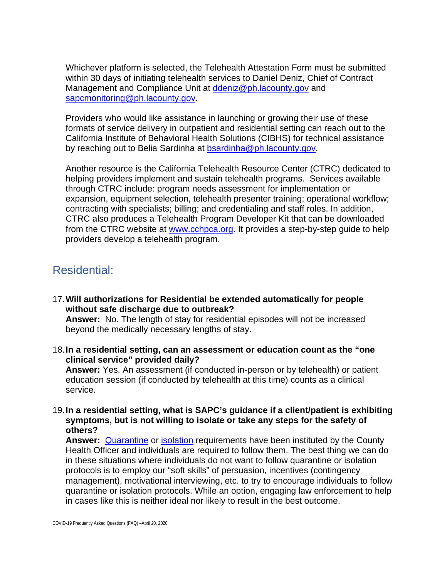Whichever platform is selected, the Telehealth Attestation Form must be submitted within 30 days of initiating telehealth services to Daniel Deniz, Chief of Contract Management and Compliance Unit at [ddeniz@ph.lacounty.gov](mailto:ddeniz@ph.lacounty.gov) and [sapcmonitoring@ph.lacounty.gov.](mailto:sapcmonitoring@ph.lacounty.gov)

Providers who would like assistance in launching or growing their use of these formats of service delivery in outpatient and residential setting can reach out to the California Institute of Behavioral Health Solutions (CIBHS) for technical assistance by reaching out to Belia Sardinha at [bsardinha@ph.lacounty.gov.](mailto:bsardinha@ph.lacounty.gov)

Another resource is the California Telehealth Resource Center (CTRC) dedicated to helping providers implement and sustain telehealth programs. Services available through CTRC include: program needs assessment for implementation or expansion, equipment selection, telehealth presenter training; operational workflow; contracting with specialists; billing; and credentialing and staff roles. In addition, CTRC also produces a Telehealth Program Developer Kit that can be downloaded from the CTRC website at [www.cchpca.org.](http://www.cchpca.org/) It provides a step-by-step quide to help providers develop a telehealth program.

## Residential:

17.**Will authorizations for Residential be extended automatically for people without safe discharge due to outbreak?**

**Answer:** No. The length of stay for residential episodes will not be increased beyond the medically necessary lengths of stay.

18.**In a residential setting, can an assessment or education count as the "one clinical service" provided daily?**

**Answer:** Yes. An assessment (if conducted in-person or by telehealth) or patient education session (if conducted by telehealth at this time) counts as a clinical service.

19.**In a residential setting, what is SAPC's guidance if a client/patient is exhibiting symptoms, but is not willing to isolate or take any steps for the safety of others?**

**Answer:** [Quarantine](http://www.publichealth.lacounty.gov/media/Coronavirus/HOO_Coronavirus_Blanket_Quarantine_04.01.20_Final.pdf) or [isolation](http://www.publichealth.lacounty.gov/media/Coronavirus/HOO_Coronavirus_Blanket_Isolation_04.01.20_Final.pdf) requirements have been instituted by the County Health Officer and individuals are required to follow them. The best thing we can do in these situations where individuals do not want to follow quarantine or isolation protocols is to employ our "soft skills" of persuasion, incentives (contingency management), motivational interviewing, etc. to try to encourage individuals to follow quarantine or isolation protocols. While an option, engaging law enforcement to help in cases like this is neither ideal nor likely to result in the best outcome.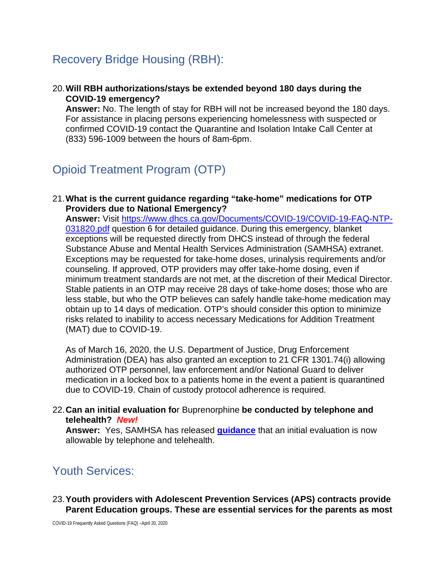# Recovery Bridge Housing (RBH):

### 20.**Will RBH authorizations/stays be extended beyond 180 days during the COVID-19 emergency?**

**Answer:** No. The length of stay for RBH will not be increased beyond the 180 days. For assistance in placing persons experiencing homelessness with suspected or confirmed COVID-19 contact the Quarantine and Isolation Intake Call Center at (833) 596-1009 between the hours of 8am-6pm.

# Opioid Treatment Program (OTP)

### 21.**What is the current guidance regarding "take-home" medications for OTP Providers due to National Emergency?**

**Answer:** Visit [https://www.dhcs.ca.gov/Documents/COVID-19/COVID-19-FAQ-NTP-](https://www.dhcs.ca.gov/Documents/COVID-19/COVID-19-FAQ-NTP-031820.pdf)[031820.pdf](https://www.dhcs.ca.gov/Documents/COVID-19/COVID-19-FAQ-NTP-031820.pdf) question 6 for detailed guidance. During this emergency, blanket exceptions will be requested directly from DHCS instead of through the federal Substance Abuse and Mental Health Services Administration (SAMHSA) extranet. Exceptions may be requested for take-home doses, urinalysis requirements and/or counseling. If approved, OTP providers may offer take-home dosing, even if minimum treatment standards are not met, at the discretion of their Medical Director. Stable patients in an OTP may receive 28 days of take-home doses; those who are less stable, but who the OTP believes can safely handle take-home medication may obtain up to 14 days of medication. OTP's should consider this option to minimize risks related to inability to access necessary Medications for Addition Treatment (MAT) due to COVID-19.

As of March 16, 2020, the U.S. Department of Justice, Drug Enforcement Administration (DEA) has also granted an exception to 21 CFR 1301.74(i) allowing authorized OTP personnel, law enforcement and/or National Guard to deliver medication in a locked box to a patients home in the event a patient is quarantined due to COVID-19. Chain of custody protocol adherence is required.

#### 22.**Can an initial evaluation fo**r Buprenorphine **be conducted by telephone and telehealth?** *New!*

**Answer:** Yes, SAMHSA has released **[guidance](https://www.samhsa.gov/sites/default/files/faqs-for-oud-prescribing-and-dispensing.pdf)** that an initial evaluation is now allowable by telephone and telehealth.

# Youth Services:

#### 23.**Youth providers with Adolescent Prevention Services (APS) contracts provide Parent Education groups. These are essential services for the parents as most**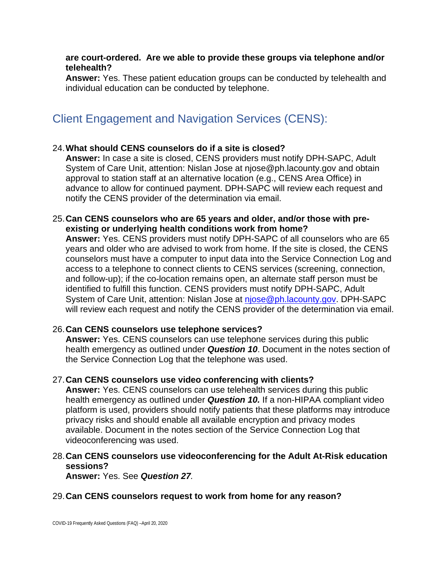#### **are court-ordered. Are we able to provide these groups via telephone and/or telehealth?**

**Answer:** Yes. These patient education groups can be conducted by telehealth and individual education can be conducted by telephone.

# Client Engagement and Navigation Services (CENS):

### 24.**What should CENS counselors do if a site is closed?**

**Answer:** In case a site is closed, CENS providers must notify DPH-SAPC, Adult System of Care Unit, attention: Nislan Jose at njose@ph.lacounty.gov and obtain approval to station staff at an alternative location (e.g., CENS Area Office) in advance to allow for continued payment. DPH-SAPC will review each request and notify the CENS provider of the determination via email.

#### 25.**Can CENS counselors who are 65 years and older, and/or those with preexisting or underlying health conditions work from home?**

**Answer:** Yes. CENS providers must notify DPH-SAPC of all counselors who are 65 years and older who are advised to work from home. If the site is closed, the CENS counselors must have a computer to input data into the Service Connection Log and access to a telephone to connect clients to CENS services (screening, connection, and follow-up); if the co-location remains open, an alternate staff person must be identified to fulfill this function. CENS providers must notify DPH-SAPC, Adult System of Care Unit, attention: Nislan Jose at [njose@ph.lacounty.gov.](mailto:njose@ph.lacounty.gov) DPH-SAPC will review each request and notify the CENS provider of the determination via email.

### 26.**Can CENS counselors use telephone services?**

**Answer:** Yes. CENS counselors can use telephone services during this public health emergency as outlined under *Question 10*. Document in the notes section of the Service Connection Log that the telephone was used.

### 27.**Can CENS counselors use video conferencing with clients?**

**Answer:** Yes. CENS counselors can use telehealth services during this public health emergency as outlined under *Question 10.* If a non-HIPAA compliant video platform is used, providers should notify patients that these platforms may introduce privacy risks and should enable all available encryption and privacy modes available. Document in the notes section of the Service Connection Log that videoconferencing was used.

### 28.**Can CENS counselors use videoconferencing for the Adult At-Risk education sessions?**

**Answer:** Yes. See *Question 27.* 

### 29.**Can CENS counselors request to work from home for any reason?**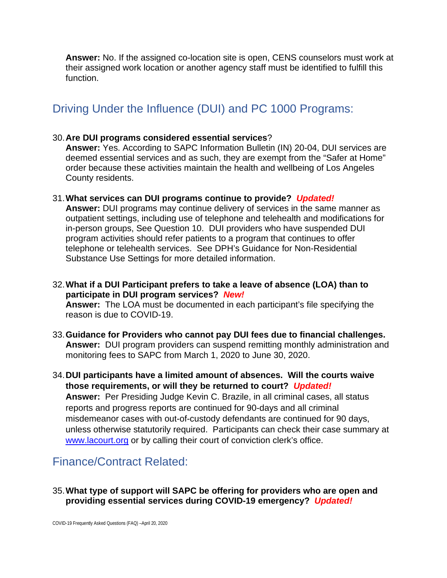**Answer:** No. If the assigned co-location site is open, CENS counselors must work at their assigned work location or another agency staff must be identified to fulfill this function.

# Driving Under the Influence (DUI) and PC 1000 Programs:

#### 30.**Are DUI programs considered essential services**?

**Answer:** Yes. According to SAPC Information Bulletin (IN) 20-04, DUI services are deemed essential services and as such, they are exempt from the "Safer at Home" order because these activities maintain the health and wellbeing of Los Angeles County residents.

#### 31.**What services can DUI programs continue to provide?** *Updated!*

**Answer:** DUI programs may continue delivery of services in the same manner as outpatient settings, including use of telephone and telehealth and modifications for in-person groups, See Question 10. DUI providers who have suspended DUI program activities should refer patients to a program that continues to offer telephone or telehealth services. See DPH's Guidance for Non-Residential Substance Use Settings for more detailed information.

- 32.**What if a DUI Participant prefers to take a leave of absence (LOA) than to participate in DUI program services?** *New!*  **Answer:** The LOA must be documented in each participant's file specifying the reason is due to COVID-19.
- 33.**Guidance for Providers who cannot pay DUI fees due to financial challenges. Answer:** DUI program providers can suspend remitting monthly administration and monitoring fees to SAPC from March 1, 2020 to June 30, 2020.
- 34.**DUI participants have a limited amount of absences. Will the courts waive those requirements, or will they be returned to court?** *Updated!* **Answer:** Per Presiding Judge Kevin C. Brazile, in all criminal cases, all status reports and progress reports are continued for 90-days and all criminal misdemeanor cases with out-of-custody defendants are continued for 90 days, unless otherwise statutorily required. Participants can check their case summary at [www.lacourt.org](http://www.lacourt.org/) or by calling their court of conviction clerk's office.

## Finance/Contract Related:

### 35.**What type of support will SAPC be offering for providers who are open and providing essential services during COVID-19 emergency?** *Updated!*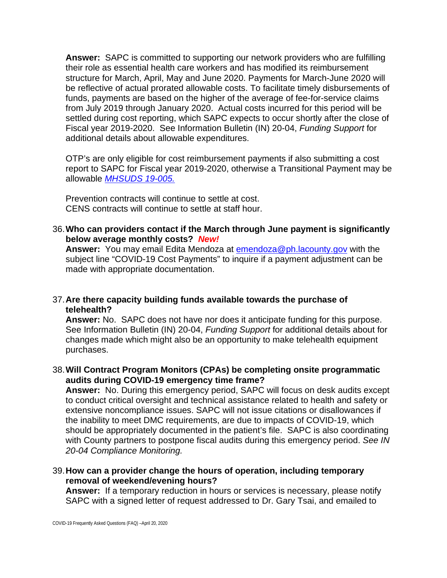**Answer:** SAPC is committed to supporting our network providers who are fulfilling their role as essential health care workers and has modified its reimbursement structure for March, April, May and June 2020. Payments for March-June 2020 will be reflective of actual prorated allowable costs. To facilitate timely disbursements of funds, payments are based on the higher of the average of fee-for-service claims from July 2019 through January 2020. Actual costs incurred for this period will be settled during cost reporting, which SAPC expects to occur shortly after the close of Fiscal year 2019-2020. See Information Bulletin (IN) 20-04, *Funding Support* for additional details about allowable expenditures.

OTP's are only eligible for cost reimbursement payments if also submitting a cost report to SAPC for Fiscal year 2019-2020, otherwise a Transitional Payment may be allowable *[MHSUDS 19-005.](https://www.dhcs.ca.gov/formsandpubs/Documents/MHSUDS%20Information%20Notices/MHSUDS-Information-Notice-19-005-NTP-Cost-Reporting.pdf)*

Prevention contracts will continue to settle at cost. CENS contracts will continue to settle at staff hour.

### 36.**Who can providers contact if the March through June payment is significantly below average monthly costs?** *New!*

**Answer:** You may email Edita Mendoza at [emendoza@ph.lacounty.gov](mailto:emendoza@ph.lacounty.gov) with the subject line "COVID-19 Cost Payments" to inquire if a payment adjustment can be made with appropriate documentation.

### 37.**Are there capacity building funds available towards the purchase of telehealth?**

**Answer:** No. SAPC does not have nor does it anticipate funding for this purpose. See Information Bulletin (IN) 20-04, *Funding Support* for additional details about for changes made which might also be an opportunity to make telehealth equipment purchases.

### 38.**Will Contract Program Monitors (CPAs) be completing onsite programmatic audits during COVID-19 emergency time frame?**

**Answer:** No. During this emergency period, SAPC will focus on desk audits except to conduct critical oversight and technical assistance related to health and safety or extensive noncompliance issues. SAPC will not issue citations or disallowances if the inability to meet DMC requirements, are due to impacts of COVID-19, which should be appropriately documented in the patient's file. SAPC is also coordinating with County partners to postpone fiscal audits during this emergency period. *See IN 20-04 Compliance Monitoring.*

### 39.**How can a provider change the hours of operation, including temporary removal of weekend/evening hours?**

**Answer:** If a temporary reduction in hours or services is necessary, please notify SAPC with a signed letter of request addressed to Dr. Gary Tsai, and emailed to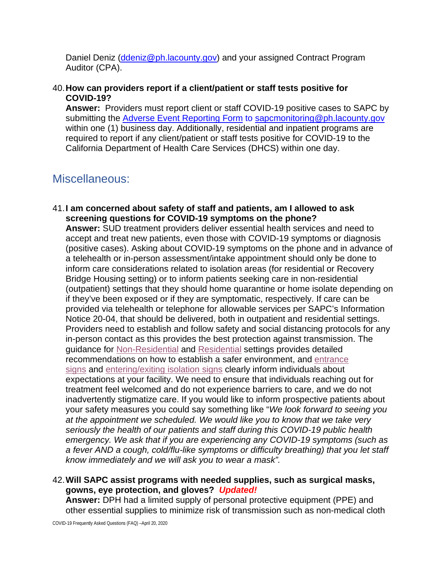Daniel Deniz [\(ddeniz@ph.lacounty.gov\)](mailto:ddeniz@ph.lacounty.gov) and your assigned Contract Program Auditor (CPA).

### 40.**How can providers report if a client/patient or staff tests positive for COVID-19?**

**Answer:** Providers must report client or staff COVID-19 positive cases to SAPC by submitting the [Adverse Event Reporting Form](http://publichealth.lacounty.gov/sapc/NetworkProviders/ClinicalForms/AQI/AdverseEventReportingForm.pdf) to [sapcmonitoring@ph.lacounty.gov](mailto:sapcmonitoring@ph.lacounty.gov) within one (1) business day. Additionally, residential and inpatient programs are required to report if any client/patient or staff tests positive for COVID-19 to the California Department of Health Care Services (DHCS) within one day.

# Miscellaneous:

41.**I am concerned about safety of staff and patients, am I allowed to ask screening questions for COVID-19 symptoms on the phone?**

**Answer:** SUD treatment providers deliver essential health services and need to accept and treat new patients, even those with COVID-19 symptoms or diagnosis (positive cases). Asking about COVID-19 symptoms on the phone and in advance of a telehealth or in-person assessment/intake appointment should only be done to inform care considerations related to isolation areas (for residential or Recovery Bridge Housing setting) or to inform patients seeking care in non-residential (outpatient) settings that they should home quarantine or home isolate depending on if they've been exposed or if they are symptomatic, respectively. If care can be provided via telehealth or telephone for allowable services per SAPC's Information Notice 20-04, that should be delivered, both in outpatient and residential settings. Providers need to establish and follow safety and social distancing protocols for any in-person contact as this provides the best protection against transmission. The guidance for [Non-Residential](http://publichealth.lacounty.gov/media/coronavirus/GuidanceNonResSubstanceUse.pdf) and [Residential](http://publichealth.lacounty.gov/media/coronavirus/GuidanceResidentialSubstanceUse.pdf) settings provides detailed recommendations on how to establish a safer environment, and [entrance](http://publichealth.lacounty.gov/acd/docs/FacilityEntrancePosterEng.pdf) [signs](http://publichealth.lacounty.gov/acd/docs/FacilityEntrancePosterEng.pdf) and [entering/exiting](http://publichealth.lacounty.gov/sapc/docs/providers/covid19/starr/Entering-Exiting%20Isolation%20signs_1.pdf) isolation signs clearly inform individuals about expectations at your facility. We need to ensure that individuals reaching out for treatment feel welcomed and do not experience barriers to care, and we do not inadvertently stigmatize care. If you would like to inform prospective patients about your safety measures you could say something like "*We look forward to seeing you at the appointment we scheduled. We would like you to know that we take very seriously the health of our patients and staff during this COVID-19 public health emergency. We ask that if you are experiencing any COVID-19 symptoms (such as a fever AND a cough, cold/flu-like symptoms or difficulty breathing) that you let staff know immediately and we will ask you to wear a mask".*

### 42.**Will SAPC assist programs with needed supplies, such as surgical masks, gowns, eye protection, and gloves?** *Updated!*

**Answer:** DPH had a limited supply of personal protective equipment (PPE) and other essential supplies to minimize risk of transmission such as non-medical cloth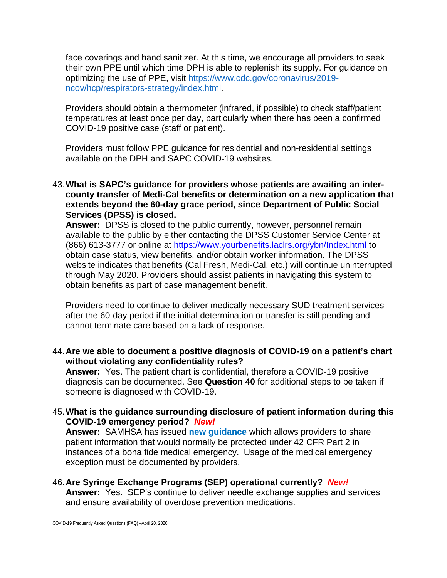face coverings and hand sanitizer. At this time, we encourage all providers to seek their own PPE until which time DPH is able to replenish its supply. For guidance on optimizing the use of PPE, visit [https://www.cdc.gov/coronavirus/2019](https://www.cdc.gov/coronavirus/2019-ncov/hcp/respirators-strategy/index.html) [ncov/hcp/respirators-strategy/index.html.](https://www.cdc.gov/coronavirus/2019-ncov/hcp/respirators-strategy/index.html)

Providers should obtain a thermometer (infrared, if possible) to check staff/patient temperatures at least once per day, particularly when there has been a confirmed COVID-19 positive case (staff or patient).

Providers must follow PPE guidance for residential and non-residential settings available on the DPH and SAPC COVID-19 websites.

43.**What is SAPC's guidance for providers whose patients are awaiting an intercounty transfer of Medi-Cal benefits or determination on a new application that extends beyond the 60-day grace period, since Department of Public Social Services (DPSS) is closed.**

**Answer:** DPSS is closed to the public currently, however, personnel remain available to the public by either contacting the DPSS Customer Service Center at (866) 613-3777 or online at<https://www.yourbenefits.laclrs.org/ybn/Index.html> to obtain case status, view benefits, and/or obtain worker information. The DPSS website indicates that benefits (Cal Fresh, Medi-Cal, etc.) will continue uninterrupted through May 2020. Providers should assist patients in navigating this system to obtain benefits as part of case management benefit.

Providers need to continue to deliver medically necessary SUD treatment services after the 60-day period if the initial determination or transfer is still pending and cannot terminate care based on a lack of response.

### 44.**Are we able to document a positive diagnosis of COVID-19 on a patient's chart without violating any confidentiality rules?**

**Answer:** Yes. The patient chart is confidential, therefore a COVID-19 positive diagnosis can be documented. See **Question 40** for additional steps to be taken if someone is diagnosed with COVID-19.

### 45.**What is the guidance surrounding disclosure of patient information during this COVID-19 emergency period?** *New!*

**Answer:** SAMHSA has issued **[new guidance](https://www.samhsa.gov/sites/default/files/covid-19-42-cfr-part-2-guidance-03192020.pdf)** which allows providers to share patient information that would normally be protected under 42 CFR Part 2 in instances of a bona fide medical emergency. Usage of the medical emergency exception must be documented by providers.

### 46.**Are Syringe Exchange Programs (SEP) operational currently?** *New!* **Answer:** Yes. SEP's continue to deliver needle exchange supplies and services and ensure availability of overdose prevention medications.